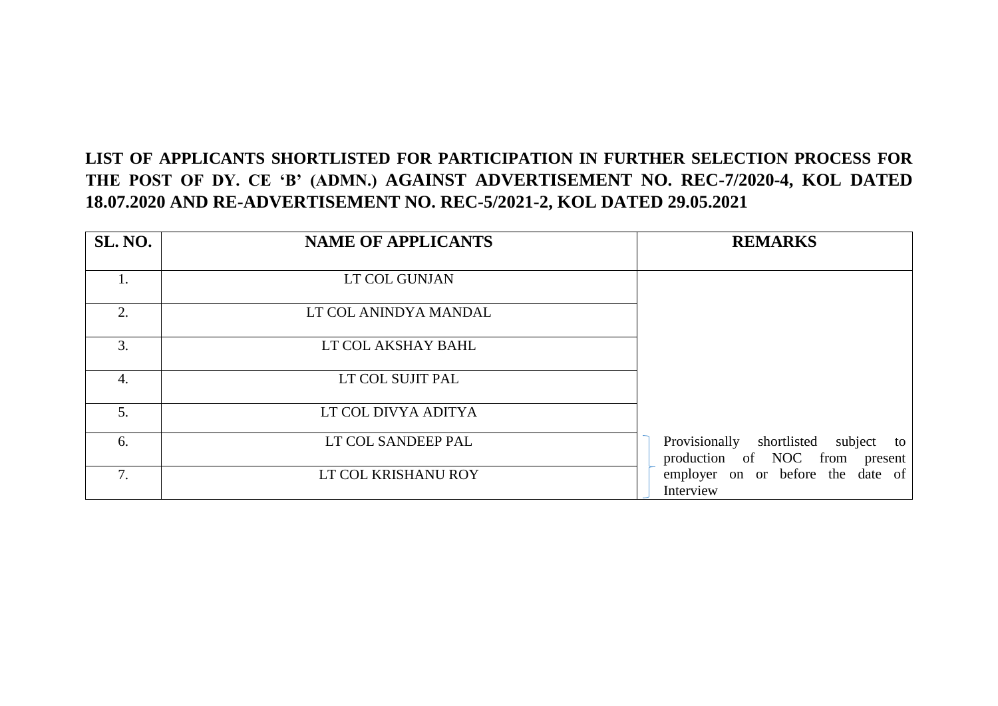## **LIST OF APPLICANTS SHORTLISTED FOR PARTICIPATION IN FURTHER SELECTION PROCESS FOR THE POST OF DY. CE 'B' (ADMN.) AGAINST ADVERTISEMENT NO. REC-7/2020-4, KOL DATED 18.07.2020 AND RE-ADVERTISEMENT NO. REC-5/2021-2, KOL DATED 29.05.2021**

| SL. NO. | <b>NAME OF APPLICANTS</b> | <b>REMARKS</b>                                                               |
|---------|---------------------------|------------------------------------------------------------------------------|
|         | LT COL GUNJAN             |                                                                              |
| 2.      | LT COL ANINDYA MANDAL     |                                                                              |
| 3.      | LT COL AKSHAY BAHL        |                                                                              |
| 4.      | LT COL SUJIT PAL          |                                                                              |
| 5.      | LT COL DIVYA ADITYA       |                                                                              |
| 6.      | LT COL SANDEEP PAL        | Provisionally shortlisted<br>subject<br>to<br>production of NOC from present |
| 7.      | LT COL KRISHANU ROY       | employer on or before the date of<br>Interview                               |